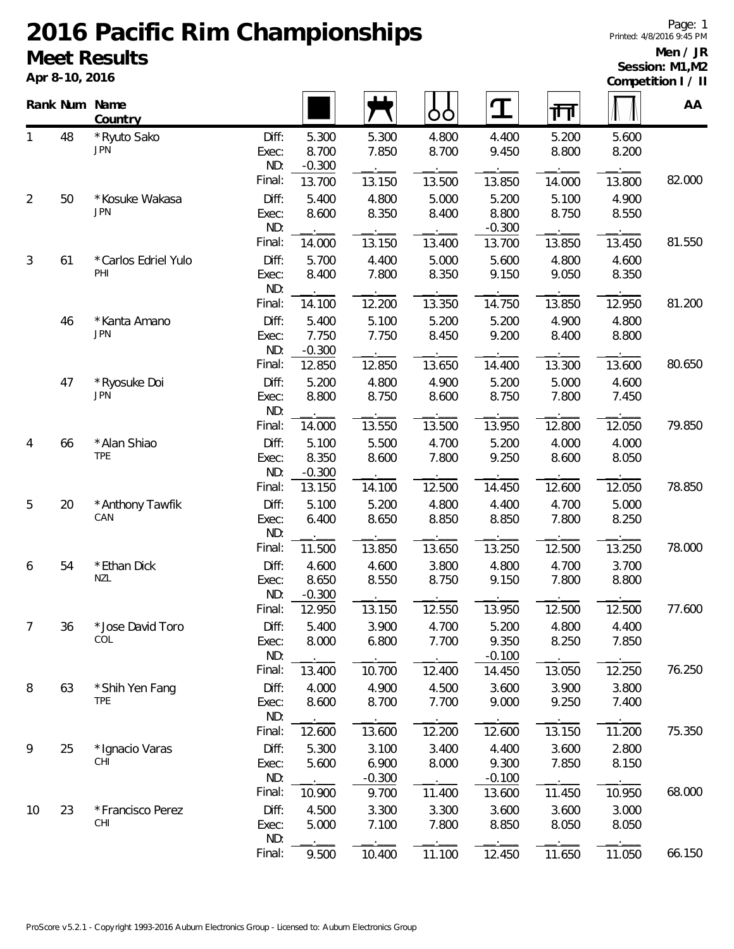## **2016 Pacific Rim Championships Meet Results**

**Apr 8-10, 2016**

## **Men / JR Session: M1,M2**

|                | Apr 8-10, 2016 |                            |                |                   |                   |                |                    |                |                | Competition I / II |  |  |
|----------------|----------------|----------------------------|----------------|-------------------|-------------------|----------------|--------------------|----------------|----------------|--------------------|--|--|
|                | Rank Num Name  | Country                    |                |                   |                   | OO             | <u>ፐ</u>           | गा             |                | AA                 |  |  |
| 1              | 48             | *Ryuto Sako                | Diff:          | 5.300             | 5.300             | 4.800          | 4.400              | 5.200          | 5.600          |                    |  |  |
|                |                | JPN                        | Exec:          | 8.700             | 7.850             | 8.700          | 9.450              | 8.800          | 8.200          |                    |  |  |
|                |                |                            | ND:<br>Final:  | $-0.300$          |                   |                |                    |                |                | 82.000             |  |  |
|                |                |                            |                | 13.700            | 13.150            | 13.500         | 13.850             | 14.000         | 13.800         |                    |  |  |
| $\overline{2}$ | 50             | * Kosuke Wakasa<br>JPN     | Diff:<br>Exec: | 5.400<br>8.600    | 4.800<br>8.350    | 5.000<br>8.400 | 5.200<br>8.800     | 5.100<br>8.750 | 4.900<br>8.550 |                    |  |  |
|                |                |                            | ND:            |                   |                   |                | $-0.300$           |                |                |                    |  |  |
|                |                |                            | Final:         | 14.000            | 13.150            | 13.400         | 13.700             | 13.850         | 13.450         | 81.550             |  |  |
| 3              | 61             | *Carlos Edriel Yulo        | Diff:          | 5.700             | 4.400             | 5.000          | 5.600              | 4.800          | 4.600          |                    |  |  |
|                |                | PHI                        | Exec:          | 8.400             | 7.800             | 8.350          | 9.150              | 9.050          | 8.350          |                    |  |  |
|                |                |                            | ND:            |                   |                   |                |                    |                |                |                    |  |  |
|                |                |                            | Final:         | 14.100            | 12.200            | 13.350         | 14.750             | 13.850         | 12.950         | 81.200             |  |  |
|                | 46             | *Kanta Amano<br><b>JPN</b> | Diff:          | 5.400             | 5.100             | 5.200          | 5.200              | 4.900          | 4.800          |                    |  |  |
|                |                |                            | Exec:<br>ND:   | 7.750<br>$-0.300$ | 7.750             | 8.450          | 9.200              | 8.400          | 8.800          |                    |  |  |
|                |                |                            | Final:         | 12.850            | 12.850            | 13.650         | 14.400             | 13.300         | 13.600         | 80.650             |  |  |
|                | 47             | *Ryosuke Doi               | Diff:          | 5.200             | 4.800             | 4.900          | 5.200              | 5.000          | 4.600          |                    |  |  |
|                |                | <b>JPN</b>                 | Exec:          | 8.800             | 8.750             | 8.600          | 8.750              | 7.800          | 7.450          |                    |  |  |
|                |                |                            | ND:            |                   |                   |                |                    |                |                |                    |  |  |
|                |                |                            | Final:         | 14.000            | 13.550            | 13.500         | 13.950             | 12.800         | 12.050         | 79.850             |  |  |
| 4              | 66             | * Alan Shiao               | Diff:          | 5.100             | 5.500             | 4.700          | 5.200              | 4.000          | 4.000          |                    |  |  |
|                |                | <b>TPE</b>                 | Exec:          | 8.350             | 8.600             | 7.800          | 9.250              | 8.600          | 8.050          |                    |  |  |
|                |                |                            | ND:            | $-0.300$          |                   |                |                    |                |                | 78.850             |  |  |
|                |                |                            | Final:         | 13.150            | 14.100            | 12.500         | 14.450             | 12.600         | 12.050         |                    |  |  |
| 5              | 20             | * Anthony Tawfik<br>CAN    | Diff:<br>Exec: | 5.100<br>6.400    | 5.200<br>8.650    | 4.800<br>8.850 | 4.400<br>8.850     | 4.700<br>7.800 | 5.000<br>8.250 |                    |  |  |
|                |                |                            | ND:            |                   |                   |                |                    |                |                |                    |  |  |
|                |                |                            | Final:         | 11.500            | 13.850            | 13.650         | 13.250             | 12.500         | 13.250         | 78.000             |  |  |
| 6              | 54             | * Ethan Dick               | Diff:          | 4.600             | 4.600             | 3.800          | 4.800              | 4.700          | 3.700          |                    |  |  |
|                |                | NZL                        | Exec:          | 8.650             | 8.550             | 8.750          | 9.150              | 7.800          | 8.800          |                    |  |  |
|                |                |                            | ND:            | $-0.300$          |                   |                |                    |                |                |                    |  |  |
|                |                |                            | Final:         | 12.950            | 13.150            | 12.550         | 13.950             | 12.500         | 12.500         | 77.600             |  |  |
| $\overline{7}$ | 36             | * Jose David Toro<br>COL   | Diff:          | 5.400             | 3.900             | 4.700          | 5.200              | 4.800          | 4.400          |                    |  |  |
|                |                |                            | Exec:<br>ND:   | 8.000             | 6.800             | 7.700          | 9.350<br>$-0.100$  | 8.250          | 7.850          |                    |  |  |
|                |                |                            | Final:         | 13.400            | 10.700            | 12.400         | 14.450             | 13.050         | 12.250         | 76.250             |  |  |
| 8              | 63             | * Shih Yen Fang            | Diff:          | 4.000             | 4.900             | 4.500          | 3.600              | 3.900          | 3.800          |                    |  |  |
|                |                | <b>TPE</b>                 | Exec:          | 8.600             | 8.700             | 7.700          | 9.000              | 9.250          | 7.400          |                    |  |  |
|                |                |                            | ND:            |                   |                   |                |                    |                |                |                    |  |  |
|                |                |                            | Final:         | 12.600            | 13.600            | 12.200         | 12.600             | 13.150         | 11.200         | 75.350             |  |  |
| 9              | 25             | * Ignacio Varas            | Diff:          | 5.300             | 3.100             | 3.400          | 4.400              | 3.600          | 2.800          |                    |  |  |
|                |                | CHI                        | Exec:          | 5.600             | 6.900             | 8.000          | 9.300              | 7.850          | 8.150          |                    |  |  |
|                |                |                            | ND:<br>Final:  | 10.900            | $-0.300$<br>9.700 | $ -$<br>11.400 | $-0.100$<br>13.600 | 11.450         | 10.950         | 68.000             |  |  |
| 10             | 23             | *Francisco Perez           | Diff:          | 4.500             | 3.300             | 3.300          | 3.600              | 3.600          | 3.000          |                    |  |  |
|                |                | CHI                        | Exec:          | 5.000             | 7.100             | 7.800          | 8.850              | 8.050          | 8.050          |                    |  |  |
|                |                |                            | ND:            |                   |                   |                |                    |                |                |                    |  |  |
|                |                |                            | Final:         | 9.500             | 10.400            | 11.100         | 12.450             | 11.650         | 11.050         | 66.150             |  |  |